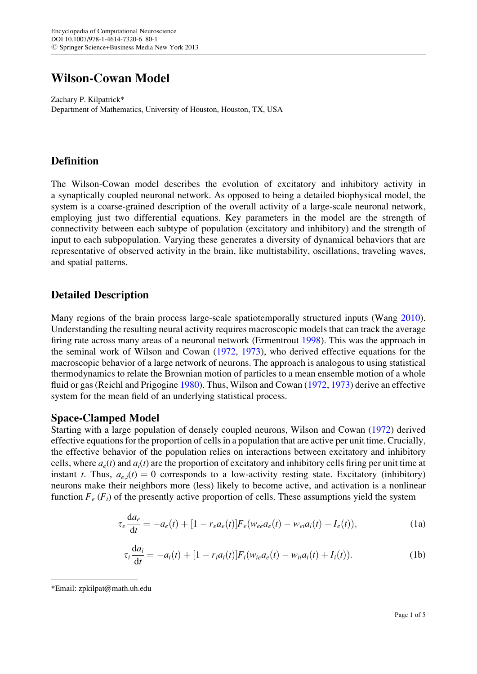# Wilson-Cowan Model

Zachary P. Kilpatrick\* Department of Mathematics, University of Houston, Houston, TX, USA

# Definition

The Wilson-Cowan model describes the evolution of excitatory and inhibitory activity in a synaptically coupled neuronal network. As opposed to being a detailed biophysical model, the system is a coarse-grained description of the overall activity of a large-scale neuronal network, employing just two differential equations. Key parameters in the model are the strength of connectivity between each subtype of population (excitatory and inhibitory) and the strength of input to each subpopulation. Varying these generates a diversity of dynamical behaviors that are representative of observed activity in the brain, like multistability, oscillations, traveling waves, and spatial patterns.

# Detailed Description

Many regions of the brain process large-scale spatiotemporally structured inputs (Wang [2010\)](#page-4-0). Understanding the resulting neural activity requires macroscopic models that can track the average firing rate across many areas of a neuronal network (Ermentrout [1998](#page-4-0)). This was the approach in the seminal work of Wilson and Cowan [\(1972](#page-4-0), [1973](#page-4-0)), who derived effective equations for the macroscopic behavior of a large network of neurons. The approach is analogous to using statistical thermodynamics to relate the Brownian motion of particles to a mean ensemble motion of a whole fluid or gas (Reichl and Prigogine [1980\)](#page-4-0). Thus, Wilson and Cowan ([1972,](#page-4-0) [1973](#page-4-0)) derive an effective system for the mean field of an underlying statistical process.

### Space-Clamped Model

Starting with a large population of densely coupled neurons, Wilson and Cowan ([1972\)](#page-4-0) derived effective equations for the proportion of cells in a population that are active per unit time. Crucially, the effective behavior of the population relies on interactions between excitatory and inhibitory cells, where  $a_e(t)$  and  $a_i(t)$  are the proportion of excitatory and inhibitory cells firing per unit time at instant t. Thus,  $a_{e,i}(t) = 0$  corresponds to a low-activity resting state. Excitatory (inhibitory) neurons make their neighbors more (less) likely to become active, and activation is a nonlinear function  $F_e$  ( $F_i$ ) of the presently active proportion of cells. These assumptions yield the system

$$
\tau_e \frac{da_e}{dt} = -a_e(t) + [1 - r_e a_e(t)] F_e(w_{ee} a_e(t) - w_{ei} a_i(t) + I_e(t)),
$$
\n(1a)

$$
\tau_i \frac{da_i}{dt} = -a_i(t) + [1 - r_i a_i(t)] F_i(w_{ie} a_e(t) - w_{ii} a_i(t) + I_i(t)).
$$
\n(1b)

<sup>\*</sup>Email: zpkilpat@math.uh.edu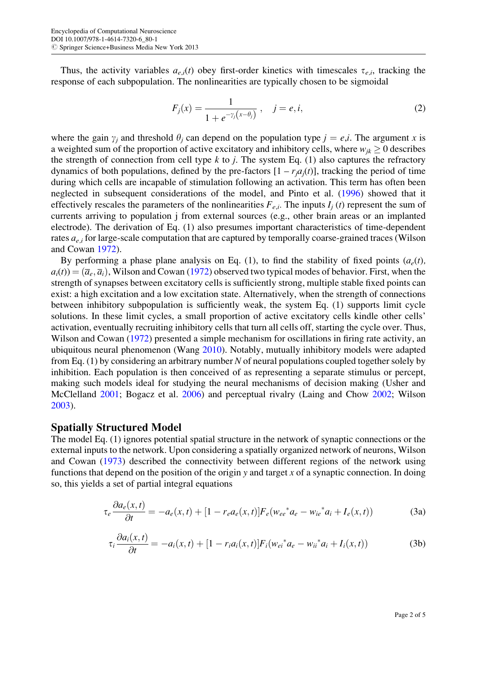<span id="page-1-0"></span>Thus, the activity variables  $a_{e,i}(t)$  obey first-order kinetics with timescales  $\tau_{e,i}$ , tracking the response of each subpopulation. The nonlinearities are typically chosen to be sigmoidal

$$
F_j(x) = \frac{1}{1 + e^{-\gamma_j(x - \theta_j)}}, \quad j = e, i,
$$
\n(2)

where the gain  $\gamma_i$  and threshold  $\theta_i$  can depend on the population type  $j = e, i$ . The argument x is a weighted sum of the proportion of active excitatory and inhibitory cells, where  $w_{ik} \geq 0$  describes the strength of connection from cell type k to j. The system Eq. (1) also captures the refractory dynamics of both populations, defined by the pre-factors  $[1 - r_i a_i(t)]$ , tracking the period of time during which cells are incapable of stimulation following an activation. This term has often been neglected in subsequent considerations of the model, and Pinto et al. [\(1996\)](#page-4-0) showed that it effectively rescales the parameters of the nonlinearities  $F_{e,i}$ . The inputs  $I_i(t)$  represent the sum of currents arriving to population j from external sources (e.g., other brain areas or an implanted electrode). The derivation of Eq. (1) also presumes important characteristics of time-dependent rates  $a_{e,i}$  for large-scale computation that are captured by temporally coarse-grained traces (Wilson and Cowan [1972](#page-4-0)).

By performing a phase plane analysis on Eq. (1), to find the stability of fixed points  $(a_e(t),$  $a_i(t) = (\overline{a}_e, \overline{a}_i)$ , Wilson and Cowan [\(1972\)](#page-4-0) observed two typical modes of behavior. First, when the strength of synapses between excitatory cells is sufficiently strong, multiple stable fixed points can exist: a high excitation and a low excitation state. Alternatively, when the strength of connections between inhibitory subpopulation is sufficiently weak, the system Eq. (1) supports limit cycle solutions. In these limit cycles, a small proportion of active excitatory cells kindle other cells' activation, eventually recruiting inhibitory cells that turn all cells off, starting the cycle over. Thus, Wilson and Cowan [\(1972](#page-4-0)) presented a simple mechanism for oscillations in firing rate activity, an ubiquitous neural phenomenon (Wang [2010\)](#page-4-0). Notably, mutually inhibitory models were adapted from Eq. (1) by considering an arbitrary number N of neural populations coupled together solely by inhibition. Each population is then conceived of as representing a separate stimulus or percept, making such models ideal for studying the neural mechanisms of decision making (Usher and McClelland [2001](#page-4-0); Bogacz et al. [2006](#page-3-0)) and perceptual rivalry (Laing and Chow [2002;](#page-4-0) Wilson [2003\)](#page-4-0).

#### Spatially Structured Model

The model Eq. (1) ignores potential spatial structure in the network of synaptic connections or the external inputs to the network. Upon considering a spatially organized network of neurons, Wilson and Cowan ([1973\)](#page-4-0) described the connectivity between different regions of the network using functions that depend on the position of the origin y and target x of a synaptic connection. In doing so, this yields a set of partial integral equations

$$
\tau_e \frac{\partial a_e(x, t)}{\partial t} = -a_e(x, t) + [1 - r_e a_e(x, t)] F_e(w_{ee}^* a_e - w_{ie}^* a_i + I_e(x, t))
$$
(3a)

$$
\tau_i \frac{\partial a_i(x,t)}{\partial t} = -a_i(x,t) + [1 - r_i a_i(x,t)] F_i(w_{ei}^* a_e - w_{ii}^* a_i + I_i(x,t))
$$
(3b)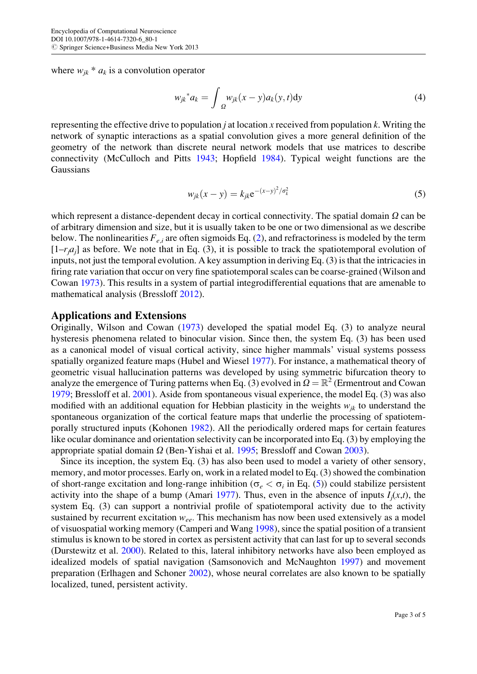where  $w_{ik} * a_k$  is a convolution operator

$$
w_{jk}^* a_k = \int_{\Omega} w_{jk}(x - y) a_k(y, t) dy
$$
 (4)

representing the effective drive to population *j* at location x received from population  $k$ . Writing the network of synaptic interactions as a spatial convolution gives a more general definition of the geometry of the network than discrete neural network models that use matrices to describe connectivity (McCulloch and Pitts [1943](#page-4-0); Hopfield [1984](#page-4-0)). Typical weight functions are the Gaussians

$$
w_{jk}(x - y) = k_{jk} e^{-(x - y)^2 / \sigma_k^2}
$$
 (5)

which represent a distance-dependent decay in cortical connectivity. The spatial domain  $\Omega$  can be of arbitrary dimension and size, but it is usually taken to be one or two dimensional as we describe below. The nonlinearities  $F_{e,i}$  are often sigmoids Eq. ([2\)](#page-1-0), and refractoriness is modeled by the term  $[1-r<sub>i</sub>a<sub>i</sub>]$  as before. We note that in Eq. (3), it is possible to track the spatiotemporal evolution of inputs, not just the temporal evolution. A key assumption in deriving Eq. (3) is that the intricacies in firing rate variation that occur on very fine spatiotemporal scales can be coarse-grained (Wilson and Cowan [1973](#page-4-0)). This results in a system of partial integrodifferential equations that are amenable to mathematical analysis (Bressloff [2012](#page-3-0)).

#### Applications and Extensions

Originally, Wilson and Cowan [\(1973](#page-4-0)) developed the spatial model Eq. (3) to analyze neural hysteresis phenomena related to binocular vision. Since then, the system Eq. (3) has been used as a canonical model of visual cortical activity, since higher mammals' visual systems possess spatially organized feature maps (Hubel and Wiesel [1977\)](#page-4-0). For instance, a mathematical theory of geometric visual hallucination patterns was developed by using symmetric bifurcation theory to analyze the emergence of Turing patterns when Eq. (3) evolved in  $\Omega = \mathbb{R}^2$  (Ermentrout and Cowan [1979;](#page-4-0) Bressloff et al. [2001](#page-3-0)). Aside from spontaneous visual experience, the model Eq. (3) was also modified with an additional equation for Hebbian plasticity in the weights  $w_{ik}$  to understand the spontaneous organization of the cortical feature maps that underlie the processing of spatiotemporally structured inputs (Kohonen [1982](#page-4-0)). All the periodically ordered maps for certain features like ocular dominance and orientation selectivity can be incorporated into Eq. (3) by employing the appropriate spatial domain  $\Omega$  (Ben-Yishai et al. [1995](#page-3-0); Bressloff and Cowan [2003\)](#page-3-0).

Since its inception, the system Eq. (3) has also been used to model a variety of other sensory, memory, and motor processes. Early on, work in a related model to Eq. (3) showed the combination of short-range excitation and long-range inhibition ( $\sigma_e < \sigma_i$  in Eq. (5)) could stabilize persistent activity into the shape of a bump (Amari [1977\)](#page-3-0). Thus, even in the absence of inputs  $I_i(x,t)$ , the system Eq. (3) can support a nontrivial profile of spatiotemporal activity due to the activity sustained by recurrent excitation  $w_{ee}$ . This mechanism has now been used extensively as a model of visuospatial working memory (Camperi and Wang [1998](#page-3-0)), since the spatial position of a transient stimulus is known to be stored in cortex as persistent activity that can last for up to several seconds (Durstewitz et al. [2000](#page-3-0)). Related to this, lateral inhibitory networks have also been employed as idealized models of spatial navigation (Samsonovich and McNaughton [1997\)](#page-4-0) and movement preparation (Erlhagen and Schoner [2002\)](#page-4-0), whose neural correlates are also known to be spatially localized, tuned, persistent activity.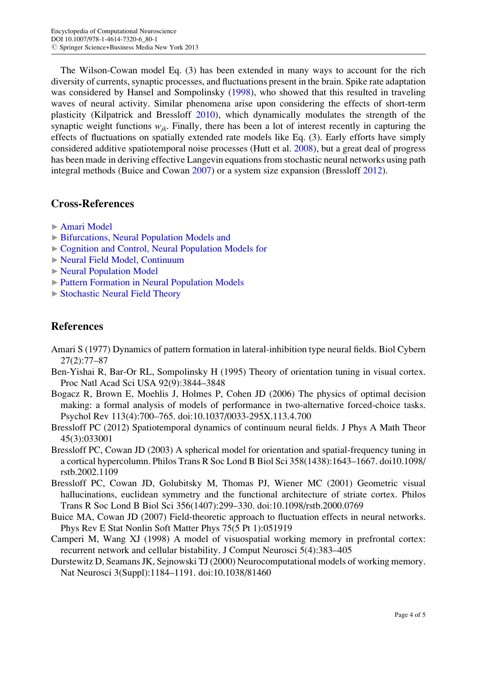<span id="page-3-0"></span>The Wilson-Cowan model Eq. (3) has been extended in many ways to account for the rich diversity of currents, synaptic processes, and fluctuations present in the brain. Spike rate adaptation was considered by Hansel and Sompolinsky ([1998\)](#page-4-0), who showed that this resulted in traveling waves of neural activity. Similar phenomena arise upon considering the effects of short-term plasticity (Kilpatrick and Bressloff [2010](#page-4-0)), which dynamically modulates the strength of the synaptic weight functions  $w_{ik}$ . Finally, there has been a lot of interest recently in capturing the effects of fluctuations on spatially extended rate models like Eq. (3). Early efforts have simply considered additive spatiotemporal noise processes (Hutt et al. [2008](#page-4-0)), but a great deal of progress has been made in deriving effective Langevin equations from stochastic neural networks using path integral methods (Buice and Cowan 2007) or a system size expansion (Bressloff 2012).

### Cross-References

- ▶ [Amari Model](http://dx.doi.org/SpringerLink:ChapterTarget)
- ▶ [Bifurcations, Neural Population Models and](http://dx.doi.org/SpringerLink:ChapterTarget)
- ▶ [Cognition and Control, Neural Population Models for](http://dx.doi.org/SpringerLink:ChapterTarget)
- ▶ [Neural Field Model, Continuum](http://dx.doi.org/SpringerLink:ChapterTarget)
- ▶ [Neural Population Model](http://dx.doi.org/SpringerLink:ChapterTarget)
- ▶ [Pattern Formation in Neural Population Models](http://dx.doi.org/SpringerLink:ChapterTarget)
- ▶ [Stochastic Neural Field Theory](http://dx.doi.org/SpringerLink:ChapterTarget)

## References

- Amari S (1977) Dynamics of pattern formation in lateral-inhibition type neural fields. Biol Cybern 27(2):77–87
- Ben-Yishai R, Bar-Or RL, Sompolinsky H (1995) Theory of orientation tuning in visual cortex. Proc Natl Acad Sci USA 92(9):3844–3848
- Bogacz R, Brown E, Moehlis J, Holmes P, Cohen JD (2006) The physics of optimal decision making: a formal analysis of models of performance in two-alternative forced-choice tasks. Psychol Rev 113(4):700–765. doi:10.1037/0033-295X.113.4.700
- Bressloff PC (2012) Spatiotemporal dynamics of continuum neural fields. J Phys A Math Theor 45(3):033001
- Bressloff PC, Cowan JD (2003) A spherical model for orientation and spatial-frequency tuning in a cortical hypercolumn. Philos Trans R Soc Lond B Biol Sci 358(1438):1643–1667. doi10.1098/ rstb.2002.1109
- Bressloff PC, Cowan JD, Golubitsky M, Thomas PJ, Wiener MC (2001) Geometric visual hallucinations, euclidean symmetry and the functional architecture of striate cortex. Philos Trans R Soc Lond B Biol Sci 356(1407):299–330. doi:10.1098/rstb.2000.0769
- Buice MA, Cowan JD (2007) Field-theoretic approach to fluctuation effects in neural networks. Phys Rev E Stat Nonlin Soft Matter Phys 75(5 Pt 1):051919
- Camperi M, Wang XJ (1998) A model of visuospatial working memory in prefrontal cortex: recurrent network and cellular bistability. J Comput Neurosci 5(4):383–405
- Durstewitz D, Seamans JK, Sejnowski TJ (2000) Neurocomputational models of working memory. Nat Neurosci 3(Suppl):1184–1191. doi:10.1038/81460